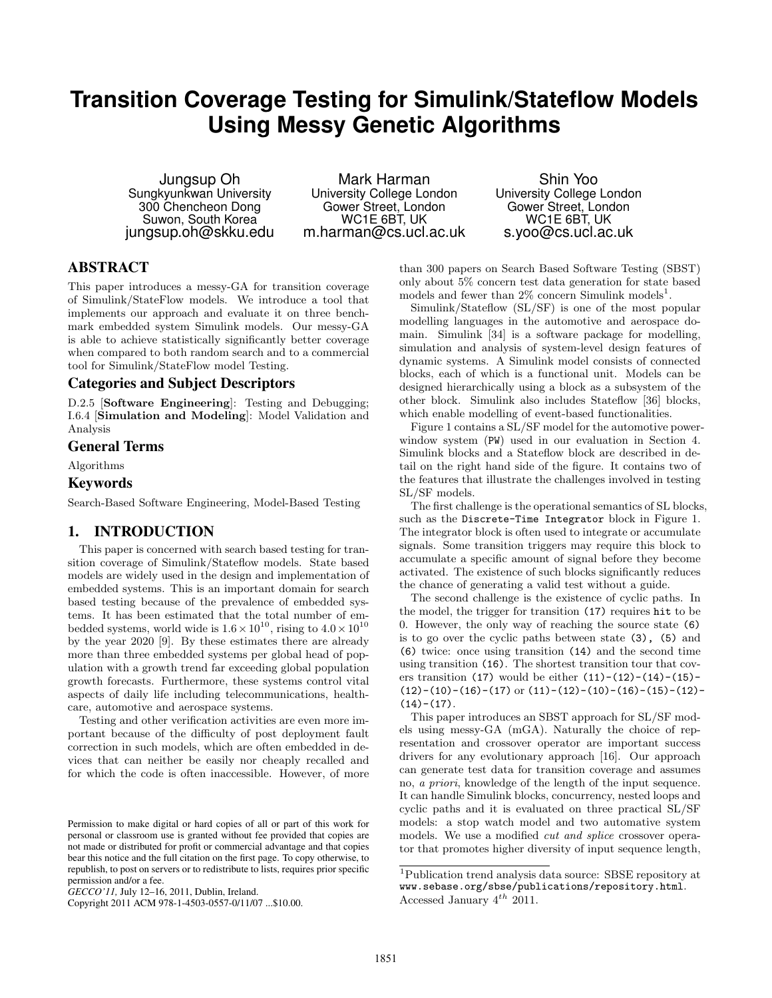# **Transition Coverage Testing for Simulink/Stateflow Models Using Messy Genetic Algorithms**

Jungsup Oh Sungkyunkwan University 300 Chencheon Dong Suwon, South Korea jungsup.oh@skku.edu

Mark Harman University College London Gower Street, London WC1E 6BT, UK m.harman@cs.ucl.ac.uk

Shin Yoo University College London Gower Street, London WC1E 6BT, UK s.yoo@cs.ucl.ac.uk

## ABSTRACT

This paper introduces a messy-GA for transition coverage of Simulink/StateFlow models. We introduce a tool that implements our approach and evaluate it on three benchmark embedded system Simulink models. Our messy-GA is able to achieve statistically significantly better coverage when compared to both random search and to a commercial tool for Simulink/StateFlow model Testing.

## Categories and Subject Descriptors

D.2.5 [Software Engineering]: Testing and Debugging; I.6.4 [Simulation and Modeling]: Model Validation and Analysis

## General Terms

Algorithms

#### Keywords

Search-Based Software Engineering, Model-Based Testing

## 1. INTRODUCTION

This paper is concerned with search based testing for transition coverage of Simulink/Stateflow models. State based models are widely used in the design and implementation of embedded systems. This is an important domain for search based testing because of the prevalence of embedded systems. It has been estimated that the total number of embedded systems, world wide is  $1.6 \times 10^{10}$ , rising to  $4.0 \times 10^{10}$ by the year 2020 [9]. By these estimates there are already more than three embedded systems per global head of population with a growth trend far exceeding global population growth forecasts. Furthermore, these systems control vital aspects of daily life including telecommunications, healthcare, automotive and aerospace systems.

Testing and other verification activities are even more important because of the difficulty of post deployment fault correction in such models, which are often embedded in devices that can neither be easily nor cheaply recalled and for which the code is often inaccessible. However, of more than 300 papers on Search Based Software Testing (SBST) only about 5% concern test data generation for state based models and fewer than  $2\%$  concern Simulink models<sup>1</sup>.

Simulink/Stateflow (SL/SF) is one of the most popular modelling languages in the automotive and aerospace domain. Simulink [34] is a software package for modelling, simulation and analysis of system-level design features of dynamic systems. A Simulink model consists of connected blocks, each of which is a functional unit. Models can be designed hierarchically using a block as a subsystem of the other block. Simulink also includes Stateflow [36] blocks, which enable modelling of event-based functionalities.

Figure 1 contains a SL/SF model for the automotive powerwindow system (PW) used in our evaluation in Section 4. Simulink blocks and a Stateflow block are described in detail on the right hand side of the figure. It contains two of the features that illustrate the challenges involved in testing SL/SF models.

The first challenge is the operational semantics of SL blocks, such as the Discrete-Time Integrator block in Figure 1. The integrator block is often used to integrate or accumulate signals. Some transition triggers may require this block to accumulate a specific amount of signal before they become activated. The existence of such blocks significantly reduces the chance of generating a valid test without a guide.

The second challenge is the existence of cyclic paths. In the model, the trigger for transition (17) requires hit to be 0. However, the only way of reaching the source state (6) is to go over the cyclic paths between state (3), (5) and (6) twice: once using transition (14) and the second time using transition (16). The shortest transition tour that covers transition (17) would be either (11)-(12)-(14)-(15)-  $(12)-(10)-(16)-(17)$  or  $(11)-(12)-(10)-(16)-(15)-(12)$ - $(14)-(17)$ .

This paper introduces an SBST approach for SL/SF models using messy-GA (mGA). Naturally the choice of representation and crossover operator are important success drivers for any evolutionary approach [16]. Our approach can generate test data for transition coverage and assumes no, a priori, knowledge of the length of the input sequence. It can handle Simulink blocks, concurrency, nested loops and cyclic paths and it is evaluated on three practical SL/SF models: a stop watch model and two automative system models. We use a modified cut and splice crossover operator that promotes higher diversity of input sequence length,

Permission to make digital or hard copies of all or part of this work for personal or classroom use is granted without fee provided that copies are not made or distributed for profit or commercial advantage and that copies bear this notice and the full citation on the first page. To copy otherwise, to republish, to post on servers or to redistribute to lists, requires prior specific permission and/or a fee.

*GECCO'11,* July 12–16, 2011, Dublin, Ireland.

Copyright 2011 ACM 978-1-4503-0557-0/11/07 ...\$10.00.

<sup>1</sup>Publication trend analysis data source: SBSE repository at www.sebase.org/sbse/publications/repository.html. Accessed January  $4^{th}$  2011.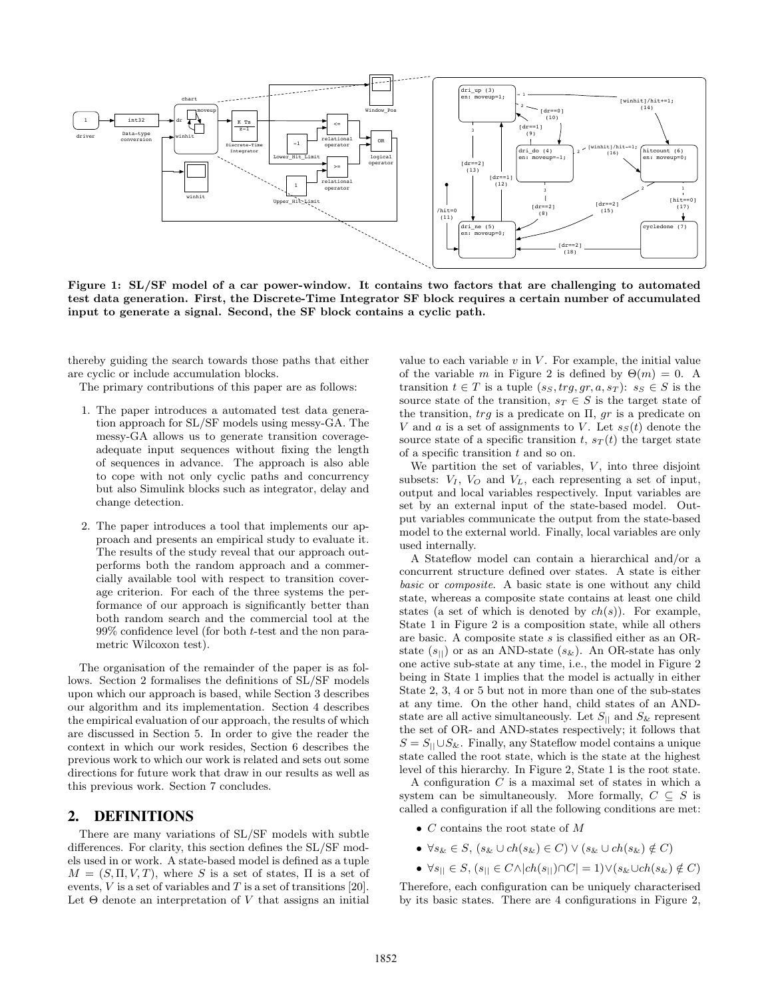

Figure 1: SL/SF model of a car power-window. It contains two factors that are challenging to automated test data generation. First, the Discrete-Time Integrator SF block requires a certain number of accumulated input to generate a signal. Second, the SF block contains a cyclic path.

thereby guiding the search towards those paths that either are cyclic or include accumulation blocks.

The primary contributions of this paper are as follows:

- 1. The paper introduces a automated test data generation approach for SL/SF models using messy-GA. The messy-GA allows us to generate transition coverageadequate input sequences without fixing the length of sequences in advance. The approach is also able to cope with not only cyclic paths and concurrency but also Simulink blocks such as integrator, delay and change detection.
- 2. The paper introduces a tool that implements our approach and presents an empirical study to evaluate it. The results of the study reveal that our approach outperforms both the random approach and a commercially available tool with respect to transition coverage criterion. For each of the three systems the performance of our approach is significantly better than both random search and the commercial tool at the 99% confidence level (for both t-test and the non parametric Wilcoxon test).

The organisation of the remainder of the paper is as follows. Section 2 formalises the definitions of SL/SF models upon which our approach is based, while Section 3 describes our algorithm and its implementation. Section 4 describes the empirical evaluation of our approach, the results of which are discussed in Section 5. In order to give the reader the context in which our work resides, Section 6 describes the previous work to which our work is related and sets out some directions for future work that draw in our results as well as this previous work. Section 7 concludes.

#### 2. DEFINITIONS

There are many variations of SL/SF models with subtle differences. For clarity, this section defines the SL/SF models used in or work. A state-based model is defined as a tuple  $M = (S, \Pi, V, T)$ , where S is a set of states,  $\Pi$  is a set of events,  $V$  is a set of variables and  $T$  is a set of transitions [20]. Let  $\Theta$  denote an interpretation of V that assigns an initial

value to each variable  $v$  in  $V$ . For example, the initial value of the variable m in Figure 2 is defined by  $\Theta(m) = 0$ . A transition  $t \in T$  is a tuple  $(s_S, trg, gr, a, s_T)$ :  $s_S \in S$  is the source state of the transition,  $s_T \in S$  is the target state of the transition,  $trg$  is a predicate on  $\Pi$ ,  $gr$  is a predicate on V and a is a set of assignments to V. Let  $s_S(t)$  denote the source state of a specific transition t,  $s_T(t)$  the target state of a specific transition t and so on.

We partition the set of variables,  $V$ , into three disjoint subsets:  $V_I$ ,  $V_O$  and  $V_L$ , each representing a set of input, output and local variables respectively. Input variables are set by an external input of the state-based model. Output variables communicate the output from the state-based model to the external world. Finally, local variables are only used internally.

A Stateflow model can contain a hierarchical and/or a concurrent structure defined over states. A state is either basic or composite. A basic state is one without any child state, whereas a composite state contains at least one child states (a set of which is denoted by  $ch(s)$ ). For example, State 1 in Figure 2 is a composition state, while all others are basic. A composite state s is classified either as an ORstate  $(s_{\parallel})$  or as an AND-state  $(s_{\&})$ . An OR-state has only one active sub-state at any time, i.e., the model in Figure 2 being in State 1 implies that the model is actually in either State 2, 3, 4 or 5 but not in more than one of the sub-states at any time. On the other hand, child states of an ANDstate are all active simultaneously. Let  $S_{\parallel}$  and  $S_{\&}$  represent the set of OR- and AND-states respectively; it follows that  $S = S_{\parallel} \cup S_{\&}$ . Finally, any Stateflow model contains a unique state called the root state, which is the state at the highest level of this hierarchy. In Figure 2, State 1 is the root state.

A configuration  $C$  is a maximal set of states in which a system can be simultaneously. More formally,  $C \subseteq S$  is called a configuration if all the following conditions are met:

- C contains the root state of M
- $\forall s_{k} \in S, (s_{k} \cup ch(s_{k}) \in C) \vee (s_{k} \cup ch(s_{k}) \notin C)$
- $\forall s_{\text{II}} \in S, (s_{\text{II}} \in C \wedge |ch(s_{\text{II}}) \cap C| = 1) \vee (s_{\&} \cup ch(s_{\&}) \notin C)$

Therefore, each configuration can be uniquely characterised by its basic states. There are 4 configurations in Figure 2,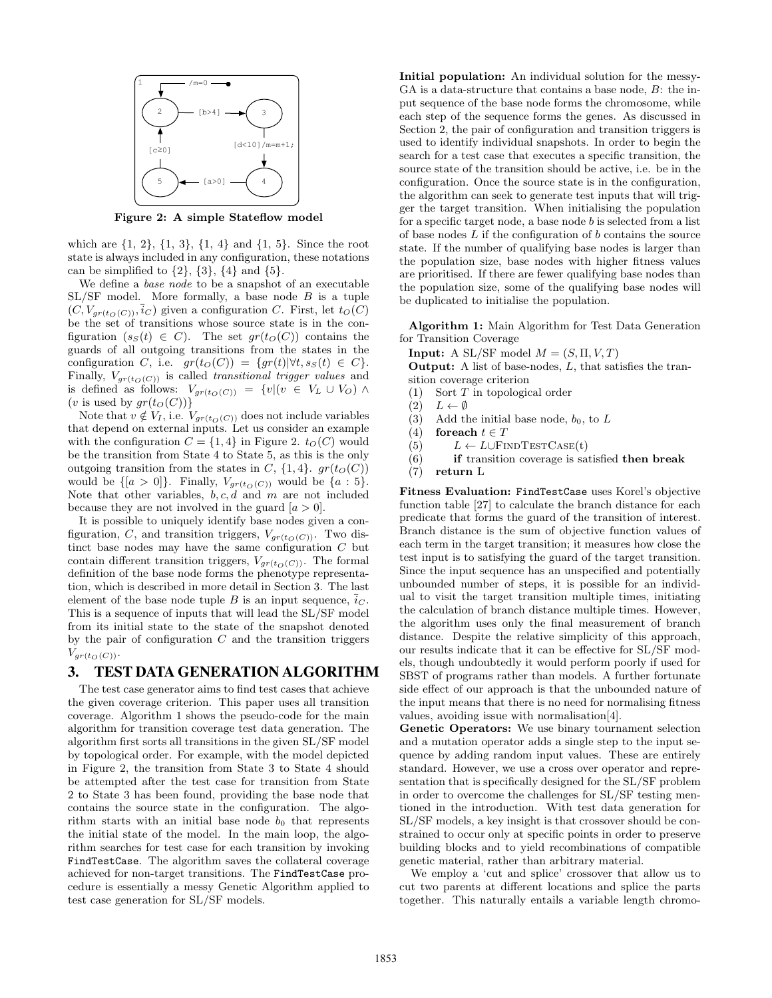

Figure 2: A simple Stateflow model

which are {1, 2}, {1, 3}, {1, 4} and {1, 5}. Since the root state is always included in any configuration, these notations can be simplified to  $\{2\}$ ,  $\{3\}$ ,  $\{4\}$  and  $\{5\}$ .

We define a base node to be a snapshot of an executable  $SL/SF$  model. More formally, a base node  $B$  is a tuple  $(C, V_{gr(t_O(C))}, \overline{i}_C)$  given a configuration C. First, let  $t_O(C)$ be the set of transitions whose source state is in the configuration  $(s_S(t) \in C)$ . The set  $gr(t_O(C))$  contains the guards of all outgoing transitions from the states in the configuration C, i.e.  $gr(t_O(C)) = \{gr(t)| \forall t, s_S(t) \in C\}.$ Finally,  $V_{gr(t_O(C))}$  is called transitional trigger values and is defined as follows:  $V_{gr(t_O(C))} = \{v | (v \in V_L \cup V_O) \land$ (*v* is used by  $gr(t_O(C))$ }

Note that  $v \notin V_I$ , i.e.  $V_{gr(t_O(C))}$  does not include variables that depend on external inputs. Let us consider an example with the configuration  $C = \{1, 4\}$  in Figure 2.  $t<sub>O</sub>(C)$  would be the transition from State 4 to State 5, as this is the only outgoing transition from the states in C,  $\{1,4\}$ .  $gr(t<sub>O</sub>(C))$ would be  $\{[a > 0]\}$ . Finally,  $V_{gr(t_O(C))}$  would be  $\{a : 5\}$ . Note that other variables,  $b, c, d$  and m are not included because they are not involved in the guard  $[a > 0]$ .

It is possible to uniquely identify base nodes given a configuration, C, and transition triggers,  $V_{gr(t<sub>O</sub>(C))}$ . Two distinct base nodes may have the same configuration  $C$  but contain different transition triggers,  $V_{gr(t<sub>O</sub>(C))}$ . The formal definition of the base node forms the phenotype representation, which is described in more detail in Section 3. The last element of the base node tuple B is an input sequence,  $\overline{i}_C$ . This is a sequence of inputs that will lead the SL/SF model from its initial state to the state of the snapshot denoted by the pair of configuration  $C$  and the transition triggers  $V_{gr(t_O(C))}.$ 

## 3. TEST DATA GENERATION ALGORITHM

The test case generator aims to find test cases that achieve the given coverage criterion. This paper uses all transition coverage. Algorithm 1 shows the pseudo-code for the main algorithm for transition coverage test data generation. The algorithm first sorts all transitions in the given SL/SF model by topological order. For example, with the model depicted in Figure 2, the transition from State 3 to State 4 should be attempted after the test case for transition from State 2 to State 3 has been found, providing the base node that contains the source state in the configuration. The algorithm starts with an initial base node  $b_0$  that represents the initial state of the model. In the main loop, the algorithm searches for test case for each transition by invoking FindTestCase. The algorithm saves the collateral coverage achieved for non-target transitions. The FindTestCase procedure is essentially a messy Genetic Algorithm applied to test case generation for SL/SF models.

Initial population: An individual solution for the messy-GA is a data-structure that contains a base node, B: the input sequence of the base node forms the chromosome, while each step of the sequence forms the genes. As discussed in Section 2, the pair of configuration and transition triggers is used to identify individual snapshots. In order to begin the search for a test case that executes a specific transition, the source state of the transition should be active, i.e. be in the configuration. Once the source state is in the configuration, the algorithm can seek to generate test inputs that will trigger the target transition. When initialising the population for a specific target node, a base node  $b$  is selected from a list of base nodes  $L$  if the configuration of  $b$  contains the source state. If the number of qualifying base nodes is larger than the population size, base nodes with higher fitness values are prioritised. If there are fewer qualifying base nodes than the population size, some of the qualifying base nodes will be duplicated to initialise the population.

Algorithm 1: Main Algorithm for Test Data Generation for Transition Coverage

**Input:** A SL/SF model  $M = (S, \Pi, V, T)$ 

**Output:** A list of base-nodes,  $L$ , that satisfies the transition coverage criterion

- (1) Sort T in topological order
- $(2)$   $L \leftarrow \emptyset$
- (3) Add the initial base node,  $b_0$ , to L
- (4) for each  $t \in T$
- (5)  $L \leftarrow L \cup \text{FINDTESTCASE}(t)$
- $(6)$  if transition coverage is satisfied then break
- (7) return L

Fitness Evaluation: FindTestCase uses Korel's objective function table [27] to calculate the branch distance for each predicate that forms the guard of the transition of interest. Branch distance is the sum of objective function values of each term in the target transition; it measures how close the test input is to satisfying the guard of the target transition. Since the input sequence has an unspecified and potentially unbounded number of steps, it is possible for an individual to visit the target transition multiple times, initiating the calculation of branch distance multiple times. However, the algorithm uses only the final measurement of branch distance. Despite the relative simplicity of this approach, our results indicate that it can be effective for SL/SF models, though undoubtedly it would perform poorly if used for SBST of programs rather than models. A further fortunate side effect of our approach is that the unbounded nature of the input means that there is no need for normalising fitness values, avoiding issue with normalisation[4].

Genetic Operators: We use binary tournament selection and a mutation operator adds a single step to the input sequence by adding random input values. These are entirely standard. However, we use a cross over operator and representation that is specifically designed for the SL/SF problem in order to overcome the challenges for SL/SF testing mentioned in the introduction. With test data generation for SL/SF models, a key insight is that crossover should be constrained to occur only at specific points in order to preserve building blocks and to yield recombinations of compatible genetic material, rather than arbitrary material.

We employ a 'cut and splice' crossover that allow us to cut two parents at different locations and splice the parts together. This naturally entails a variable length chromo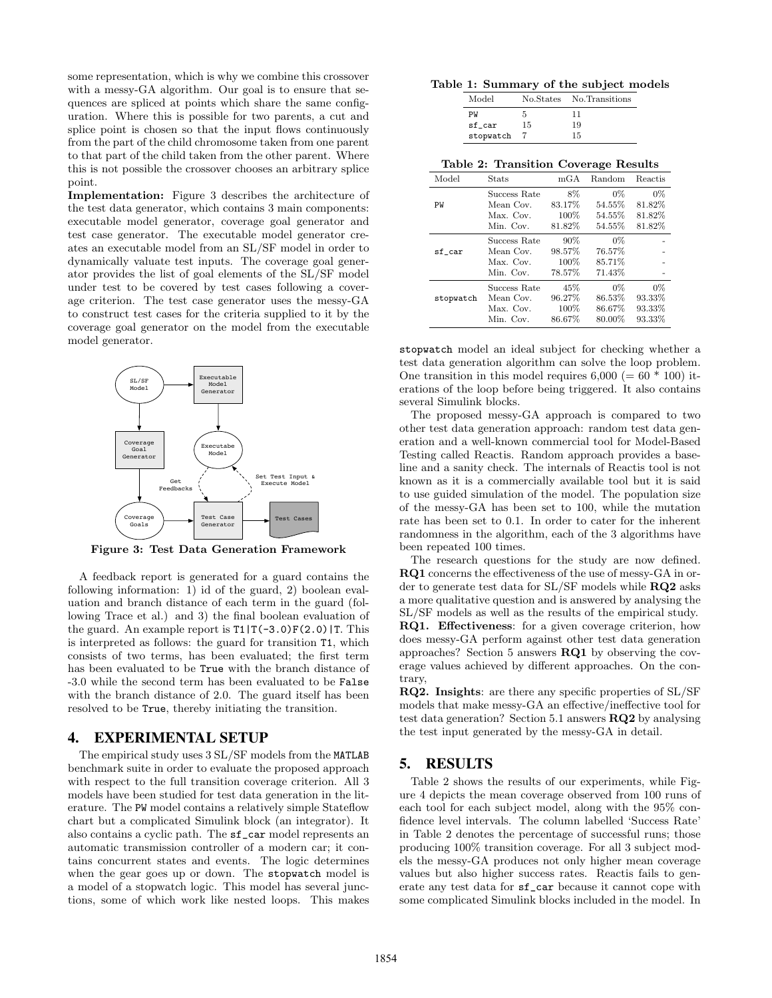some representation, which is why we combine this crossover with a messy-GA algorithm. Our goal is to ensure that sequences are spliced at points which share the same configuration. Where this is possible for two parents, a cut and splice point is chosen so that the input flows continuously from the part of the child chromosome taken from one parent to that part of the child taken from the other parent. Where this is not possible the crossover chooses an arbitrary splice point.

Implementation: Figure 3 describes the architecture of the test data generator, which contains 3 main components: executable model generator, coverage goal generator and test case generator. The executable model generator creates an executable model from an SL/SF model in order to dynamically valuate test inputs. The coverage goal generator provides the list of goal elements of the SL/SF model under test to be covered by test cases following a coverage criterion. The test case generator uses the messy-GA to construct test cases for the criteria supplied to it by the coverage goal generator on the model from the executable model generator.



Figure 3: Test Data Generation Framework

A feedback report is generated for a guard contains the following information: 1) id of the guard, 2) boolean evaluation and branch distance of each term in the guard (following Trace et al.) and 3) the final boolean evaluation of the guard. An example report is  $T1|T(-3.0)F(2.0)|T$ . This is interpreted as follows: the guard for transition T1, which consists of two terms, has been evaluated; the first term has been evaluated to be True with the branch distance of -3.0 while the second term has been evaluated to be False with the branch distance of 2.0. The guard itself has been resolved to be True, thereby initiating the transition.

#### 4. EXPERIMENTAL SETUP

The empirical study uses 3 SL/SF models from the MATLAB benchmark suite in order to evaluate the proposed approach with respect to the full transition coverage criterion. All 3 models have been studied for test data generation in the literature. The PW model contains a relatively simple Stateflow chart but a complicated Simulink block (an integrator). It also contains a cyclic path. The sf\_car model represents an automatic transmission controller of a modern car; it contains concurrent states and events. The logic determines when the gear goes up or down. The stopwatch model is a model of a stopwatch logic. This model has several junctions, some of which work like nested loops. This makes

Table 1: Summary of the subject models

|           | $\cdot$ |                          |
|-----------|---------|--------------------------|
| Model     |         | No.States No.Transitions |
| PW        | ь       | 11                       |
| sf_car    | 15      | 19                       |
| stopwatch |         | 15                       |
|           |         |                          |

|  |  | Table 2: Transition Coverage Results |  |  |
|--|--|--------------------------------------|--|--|
|--|--|--------------------------------------|--|--|

| Model     | Stats        | $mG_A$ | Random | Reactis |
|-----------|--------------|--------|--------|---------|
|           | Success Rate | 8%     | $0\%$  | $0\%$   |
| PW        | Mean Cov.    | 83.17% | 54.55% | 81.82%  |
|           | Max. Cov.    | 100%   | 54.55% | 81.82%  |
|           | Min. Cov.    | 81.82% | 54.55% | 81.82%  |
|           | Success Rate | 90%    | $0\%$  |         |
| sf car    | Mean Cov.    | 98.57% | 76.57% |         |
|           | Max. Cov.    | 100%   | 85.71% |         |
|           | Min. Cov.    | 78.57% | 71.43% |         |
|           | Success Rate | 45%    | $0\%$  | $0\%$   |
| stopwatch | Mean Cov.    | 96.27% | 86.53% | 93.33%  |
|           | Max. Cov.    | 100%   | 86.67% | 93.33%  |
|           | Min. Cov.    | 86.67% | 80.00% | 93.33%  |

stopwatch model an ideal subject for checking whether a test data generation algorithm can solve the loop problem. One transition in this model requires  $6,000 (= 60 * 100)$  iterations of the loop before being triggered. It also contains several Simulink blocks.

The proposed messy-GA approach is compared to two other test data generation approach: random test data generation and a well-known commercial tool for Model-Based Testing called Reactis. Random approach provides a baseline and a sanity check. The internals of Reactis tool is not known as it is a commercially available tool but it is said to use guided simulation of the model. The population size of the messy-GA has been set to 100, while the mutation rate has been set to 0.1. In order to cater for the inherent randomness in the algorithm, each of the 3 algorithms have been repeated 100 times.

The research questions for the study are now defined. RQ1 concerns the effectiveness of the use of messy-GA in order to generate test data for SL/SF models while RQ2 asks a more qualitative question and is answered by analysing the SL/SF models as well as the results of the empirical study. RQ1. Effectiveness: for a given coverage criterion, how does messy-GA perform against other test data generation approaches? Section 5 answers RQ1 by observing the coverage values achieved by different approaches. On the contrary,

RQ2. Insights: are there any specific properties of SL/SF models that make messy-GA an effective/ineffective tool for test data generation? Section 5.1 answers RQ2 by analysing the test input generated by the messy-GA in detail.

#### 5. RESULTS

Table 2 shows the results of our experiments, while Figure 4 depicts the mean coverage observed from 100 runs of each tool for each subject model, along with the 95% confidence level intervals. The column labelled 'Success Rate' in Table 2 denotes the percentage of successful runs; those producing 100% transition coverage. For all 3 subject models the messy-GA produces not only higher mean coverage values but also higher success rates. Reactis fails to generate any test data for sf\_car because it cannot cope with some complicated Simulink blocks included in the model. In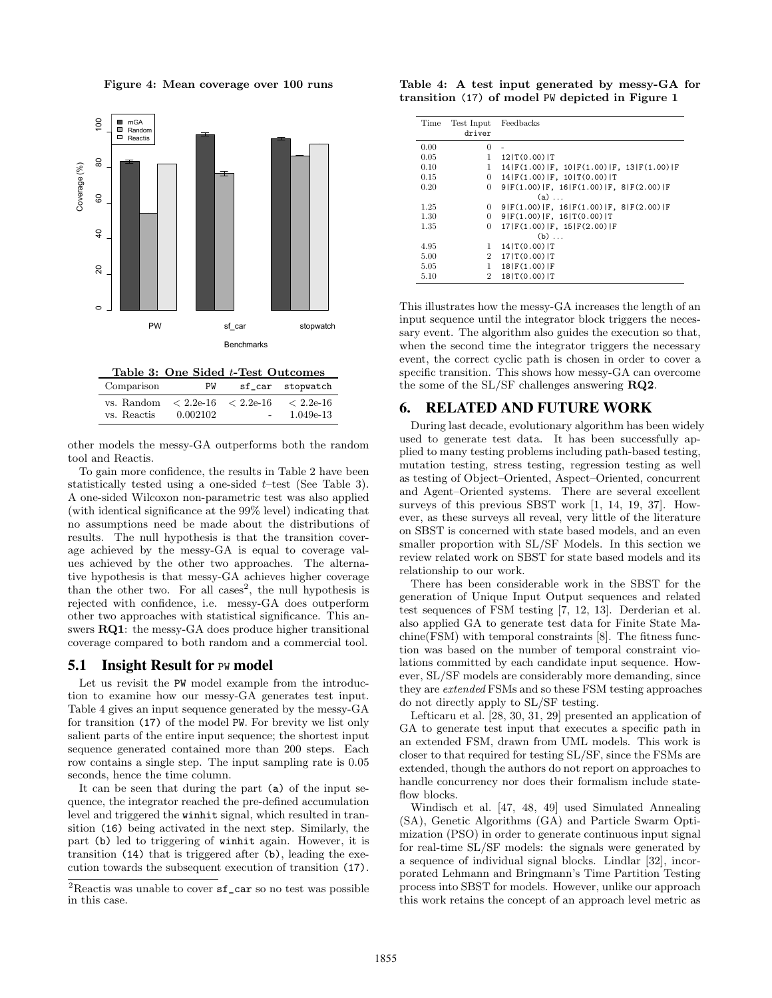Figure 4: Mean coverage over 100 runs



|                           | Lable 5: One Sided <i>t</i> -lest Outcomes |                        |                            |
|---------------------------|--------------------------------------------|------------------------|----------------------------|
| Comparison                | PW                                         |                        | sf_car stopwatch           |
| vs. Random<br>vs. Reactis | $< 2.2e-16$<br>0.002102                    | $< 2.2$ e-16<br>$\sim$ | $< 2.2e-16$<br>$1.049e-13$ |

other models the messy-GA outperforms both the random tool and Reactis.

To gain more confidence, the results in Table 2 have been statistically tested using a one-sided  $t$ -test (See Table 3). A one-sided Wilcoxon non-parametric test was also applied (with identical significance at the 99% level) indicating that no assumptions need be made about the distributions of results. The null hypothesis is that the transition coverage achieved by the messy-GA is equal to coverage values achieved by the other two approaches. The alternative hypothesis is that messy-GA achieves higher coverage than the other two. For all cases<sup>2</sup>, the null hypothesis is rejected with confidence, i.e. messy-GA does outperform other two approaches with statistical significance. This answers RQ1: the messy-GA does produce higher transitional coverage compared to both random and a commercial tool.

#### **5.1 Insight Result for PW model**

Let us revisit the PW model example from the introduction to examine how our messy-GA generates test input. Table 4 gives an input sequence generated by the messy-GA for transition (17) of the model PW. For brevity we list only salient parts of the entire input sequence; the shortest input sequence generated contained more than 200 steps. Each row contains a single step. The input sampling rate is 0.05 seconds, hence the time column.

It can be seen that during the part (a) of the input sequence, the integrator reached the pre-defined accumulation level and triggered the winhit signal, which resulted in transition (16) being activated in the next step. Similarly, the part (b) led to triggering of winhit again. However, it is transition (14) that is triggered after (b), leading the execution towards the subsequent execution of transition (17).

 $\mathbf{t}$  of  $\mathbf{t}$  of  $\mathbf{t}$  of  $\mathbf{t}$  of  $\mathbf{t}$  of  $\mathbf{t}$  of  $\mathbf{t}$  of  $\mathbf{t}$ Table 4: A test input generated by messy-GA for transition (17) of model PW depicted in Figure 1

| Time | Test Input     | Feedbacks                                        |
|------|----------------|--------------------------------------------------|
|      | driver         |                                                  |
| 0.00 | $\Omega$       |                                                  |
| 0.05 | 1              | 12 T(0.00) T                                     |
| 0.10 | $\mathbf{1}$   | $14 F(1.00) F$ , $10 F(1.00) F$ , $13 F(1.00) F$ |
| 0.15 | $\overline{0}$ | $14 F(1.00) F$ , $10 T(0.00) T$                  |
| 0.20 | $\Omega$       | $9 F(1.00) F$ , $16 F(1.00) F$ , $8 F(2.00) F$   |
|      |                | $(a)$                                            |
| 1.25 | $\theta$       | $9 F(1.00) F$ , $16 F(1.00) F$ , $8 F(2.00) F$   |
| 1.30 | $\overline{0}$ | $9 F(1.00) F$ , $16 T(0.00) T$                   |
| 1.35 | $\Omega$       | $17 F(1.00) F$ , $15 F(2.00) F$                  |
|      |                | $(b)$                                            |
| 4.95 | 1.             | 14 T(0.00) T                                     |
| 5.00 | $2^{\circ}$    | 17 T(0.00) T                                     |
| 5.05 | $\mathbf{1}$   | 18   F (1.00)   F                                |
| 5.10 | $\overline{2}$ | 18   T (0.00)   T                                |

This illustrates how the messy-GA increases the length of an input sequence until the integrator block triggers the necessary event. The algorithm also guides the execution so that, when the second time the integrator triggers the necessary event, the correct cyclic path is chosen in order to cover a specific transition. This shows how messy-GA can overcome the some of the SL/SF challenges answering RQ2.

## 6. RELATED AND FUTURE WORK

During last decade, evolutionary algorithm has been widely used to generate test data. It has been successfully applied to many testing problems including path-based testing, mutation testing, stress testing, regression testing as well as testing of Object–Oriented, Aspect–Oriented, concurrent and Agent–Oriented systems. There are several excellent surveys of this previous SBST work [1, 14, 19, 37]. However, as these surveys all reveal, very little of the literature on SBST is concerned with state based models, and an even smaller proportion with SL/SF Models. In this section we review related work on SBST for state based models and its relationship to our work.

There has been considerable work in the SBST for the generation of Unique Input Output sequences and related test sequences of FSM testing [7, 12, 13]. Derderian et al. also applied GA to generate test data for Finite State Machine(FSM) with temporal constraints [8]. The fitness function was based on the number of temporal constraint violations committed by each candidate input sequence. However, SL/SF models are considerably more demanding, since they are extended FSMs and so these FSM testing approaches do not directly apply to SL/SF testing.

Lefticaru et al. [28, 30, 31, 29] presented an application of GA to generate test input that executes a specific path in an extended FSM, drawn from UML models. This work is closer to that required for testing SL/SF, since the FSMs are extended, though the authors do not report on approaches to handle concurrency nor does their formalism include stateflow blocks.

Windisch et al. [47, 48, 49] used Simulated Annealing (SA), Genetic Algorithms (GA) and Particle Swarm Optimization (PSO) in order to generate continuous input signal for real-time SL/SF models: the signals were generated by a sequence of individual signal blocks. Lindlar [32], incorporated Lehmann and Bringmann's Time Partition Testing process into SBST for models. However, unlike our approach this work retains the concept of an approach level metric as

<sup>&</sup>lt;sup>2</sup>Reactis was unable to cover  $sf\_car$  so no test was possible in this case.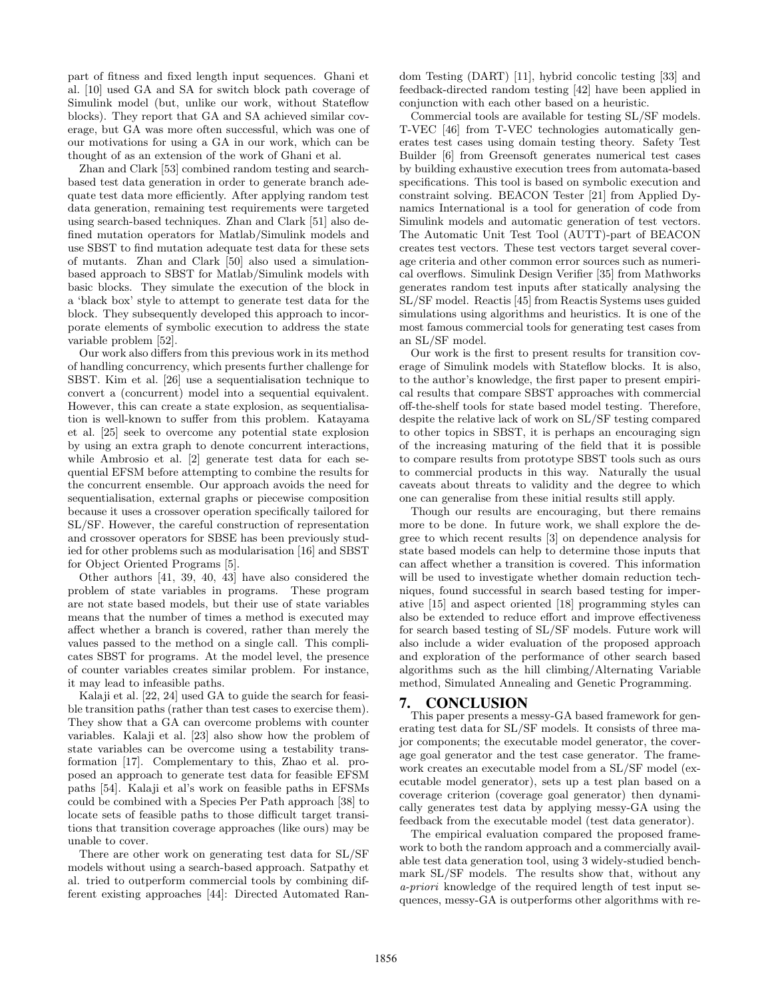part of fitness and fixed length input sequences. Ghani et al. [10] used GA and SA for switch block path coverage of Simulink model (but, unlike our work, without Stateflow blocks). They report that GA and SA achieved similar coverage, but GA was more often successful, which was one of our motivations for using a GA in our work, which can be thought of as an extension of the work of Ghani et al.

Zhan and Clark [53] combined random testing and searchbased test data generation in order to generate branch adequate test data more efficiently. After applying random test data generation, remaining test requirements were targeted using search-based techniques. Zhan and Clark [51] also defined mutation operators for Matlab/Simulink models and use SBST to find mutation adequate test data for these sets of mutants. Zhan and Clark [50] also used a simulationbased approach to SBST for Matlab/Simulink models with basic blocks. They simulate the execution of the block in a 'black box' style to attempt to generate test data for the block. They subsequently developed this approach to incorporate elements of symbolic execution to address the state variable problem [52].

Our work also differs from this previous work in its method of handling concurrency, which presents further challenge for SBST. Kim et al. [26] use a sequentialisation technique to convert a (concurrent) model into a sequential equivalent. However, this can create a state explosion, as sequentialisation is well-known to suffer from this problem. Katayama et al. [25] seek to overcome any potential state explosion by using an extra graph to denote concurrent interactions, while Ambrosio et al. [2] generate test data for each sequential EFSM before attempting to combine the results for the concurrent ensemble. Our approach avoids the need for sequentialisation, external graphs or piecewise composition because it uses a crossover operation specifically tailored for SL/SF. However, the careful construction of representation and crossover operators for SBSE has been previously studied for other problems such as modularisation [16] and SBST for Object Oriented Programs [5].

Other authors [41, 39, 40, 43] have also considered the problem of state variables in programs. These program are not state based models, but their use of state variables means that the number of times a method is executed may affect whether a branch is covered, rather than merely the values passed to the method on a single call. This complicates SBST for programs. At the model level, the presence of counter variables creates similar problem. For instance, it may lead to infeasible paths.

Kalaji et al. [22, 24] used GA to guide the search for feasible transition paths (rather than test cases to exercise them). They show that a GA can overcome problems with counter variables. Kalaji et al. [23] also show how the problem of state variables can be overcome using a testability transformation [17]. Complementary to this, Zhao et al. proposed an approach to generate test data for feasible EFSM paths [54]. Kalaji et al's work on feasible paths in EFSMs could be combined with a Species Per Path approach [38] to locate sets of feasible paths to those difficult target transitions that transition coverage approaches (like ours) may be unable to cover.

There are other work on generating test data for SL/SF models without using a search-based approach. Satpathy et al. tried to outperform commercial tools by combining different existing approaches [44]: Directed Automated Random Testing (DART) [11], hybrid concolic testing [33] and feedback-directed random testing [42] have been applied in conjunction with each other based on a heuristic.

Commercial tools are available for testing SL/SF models. T-VEC [46] from T-VEC technologies automatically generates test cases using domain testing theory. Safety Test Builder [6] from Greensoft generates numerical test cases by building exhaustive execution trees from automata-based specifications. This tool is based on symbolic execution and constraint solving. BEACON Tester [21] from Applied Dynamics International is a tool for generation of code from Simulink models and automatic generation of test vectors. The Automatic Unit Test Tool (AUTT)-part of BEACON creates test vectors. These test vectors target several coverage criteria and other common error sources such as numerical overflows. Simulink Design Verifier [35] from Mathworks generates random test inputs after statically analysing the SL/SF model. Reactis [45] from Reactis Systems uses guided simulations using algorithms and heuristics. It is one of the most famous commercial tools for generating test cases from an SL/SF model.

Our work is the first to present results for transition coverage of Simulink models with Stateflow blocks. It is also, to the author's knowledge, the first paper to present empirical results that compare SBST approaches with commercial off-the-shelf tools for state based model testing. Therefore, despite the relative lack of work on SL/SF testing compared to other topics in SBST, it is perhaps an encouraging sign of the increasing maturing of the field that it is possible to compare results from prototype SBST tools such as ours to commercial products in this way. Naturally the usual caveats about threats to validity and the degree to which one can generalise from these initial results still apply.

Though our results are encouraging, but there remains more to be done. In future work, we shall explore the degree to which recent results [3] on dependence analysis for state based models can help to determine those inputs that can affect whether a transition is covered. This information will be used to investigate whether domain reduction techniques, found successful in search based testing for imperative [15] and aspect oriented [18] programming styles can also be extended to reduce effort and improve effectiveness for search based testing of SL/SF models. Future work will also include a wider evaluation of the proposed approach and exploration of the performance of other search based algorithms such as the hill climbing/Alternating Variable method, Simulated Annealing and Genetic Programming.

#### 7. CONCLUSION

This paper presents a messy-GA based framework for generating test data for SL/SF models. It consists of three major components; the executable model generator, the coverage goal generator and the test case generator. The framework creates an executable model from a SL/SF model (executable model generator), sets up a test plan based on a coverage criterion (coverage goal generator) then dynamically generates test data by applying messy-GA using the feedback from the executable model (test data generator).

The empirical evaluation compared the proposed framework to both the random approach and a commercially available test data generation tool, using 3 widely-studied benchmark SL/SF models. The results show that, without any a-priori knowledge of the required length of test input sequences, messy-GA is outperforms other algorithms with re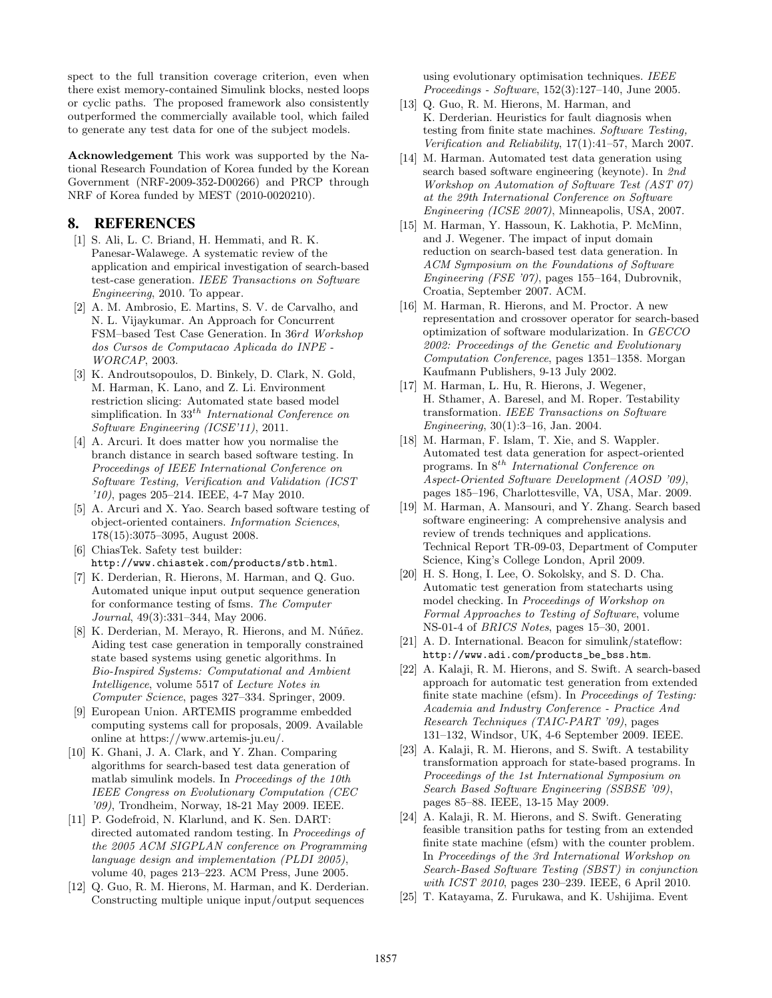spect to the full transition coverage criterion, even when there exist memory-contained Simulink blocks, nested loops or cyclic paths. The proposed framework also consistently outperformed the commercially available tool, which failed to generate any test data for one of the subject models.

Acknowledgement This work was supported by the National Research Foundation of Korea funded by the Korean Government (NRF-2009-352-D00266) and PRCP through NRF of Korea funded by MEST (2010-0020210).

## 8. REFERENCES

- [1] S. Ali, L. C. Briand, H. Hemmati, and R. K. Panesar-Walawege. A systematic review of the application and empirical investigation of search-based test-case generation. IEEE Transactions on Software Engineering, 2010. To appear.
- [2] A. M. Ambrosio, E. Martins, S. V. de Carvalho, and N. L. Vijaykumar. An Approach for Concurrent FSM–based Test Case Generation. In 36rd Workshop dos Cursos de Computacao Aplicada do INPE - WORCAP, 2003.
- [3] K. Androutsopoulos, D. Binkely, D. Clark, N. Gold, M. Harman, K. Lano, and Z. Li. Environment restriction slicing: Automated state based model simplification. In  $33^{th}$  International Conference on Software Engineering (ICSE'11), 2011.
- [4] A. Arcuri. It does matter how you normalise the branch distance in search based software testing. In Proceedings of IEEE International Conference on Software Testing, Verification and Validation (ICST '10), pages 205–214. IEEE, 4-7 May 2010.
- [5] A. Arcuri and X. Yao. Search based software testing of object-oriented containers. Information Sciences, 178(15):3075–3095, August 2008.
- [6] ChiasTek. Safety test builder: http://www.chiastek.com/products/stb.html.
- [7] K. Derderian, R. Hierons, M. Harman, and Q. Guo. Automated unique input output sequence generation for conformance testing of fsms. The Computer Journal, 49(3):331–344, May 2006.
- K. Derderian, M. Merayo, R. Hierons, and M. Núñez. Aiding test case generation in temporally constrained state based systems using genetic algorithms. In Bio-Inspired Systems: Computational and Ambient Intelligence, volume 5517 of Lecture Notes in Computer Science, pages 327–334. Springer, 2009.
- [9] European Union. ARTEMIS programme embedded computing systems call for proposals, 2009. Available online at https://www.artemis-ju.eu/.
- [10] K. Ghani, J. A. Clark, and Y. Zhan. Comparing algorithms for search-based test data generation of matlab simulink models. In Proceedings of the 10th IEEE Congress on Evolutionary Computation (CEC '09), Trondheim, Norway, 18-21 May 2009. IEEE.
- [11] P. Godefroid, N. Klarlund, and K. Sen. DART: directed automated random testing. In Proceedings of the 2005 ACM SIGPLAN conference on Programming language design and implementation (PLDI 2005), volume 40, pages 213–223. ACM Press, June 2005.
- [12] Q. Guo, R. M. Hierons, M. Harman, and K. Derderian. Constructing multiple unique input/output sequences

using evolutionary optimisation techniques. IEEE Proceedings - Software, 152(3):127–140, June 2005.

- [13] Q. Guo, R. M. Hierons, M. Harman, and K. Derderian. Heuristics for fault diagnosis when testing from finite state machines. Software Testing, Verification and Reliability, 17(1):41–57, March 2007.
- [14] M. Harman. Automated test data generation using search based software engineering (keynote). In 2nd Workshop on Automation of Software Test (AST 07) at the 29th International Conference on Software Engineering (ICSE 2007), Minneapolis, USA, 2007.
- [15] M. Harman, Y. Hassoun, K. Lakhotia, P. McMinn, and J. Wegener. The impact of input domain reduction on search-based test data generation. In ACM Symposium on the Foundations of Software Engineering (FSE '07), pages 155–164, Dubrovnik, Croatia, September 2007. ACM.
- [16] M. Harman, R. Hierons, and M. Proctor. A new representation and crossover operator for search-based optimization of software modularization. In GECCO 2002: Proceedings of the Genetic and Evolutionary Computation Conference, pages 1351–1358. Morgan Kaufmann Publishers, 9-13 July 2002.
- [17] M. Harman, L. Hu, R. Hierons, J. Wegener, H. Sthamer, A. Baresel, and M. Roper. Testability transformation. IEEE Transactions on Software Engineering, 30(1):3–16, Jan. 2004.
- [18] M. Harman, F. Islam, T. Xie, and S. Wappler. Automated test data generation for aspect-oriented programs. In 8th International Conference on Aspect-Oriented Software Development (AOSD '09), pages 185–196, Charlottesville, VA, USA, Mar. 2009.
- [19] M. Harman, A. Mansouri, and Y. Zhang. Search based software engineering: A comprehensive analysis and review of trends techniques and applications. Technical Report TR-09-03, Department of Computer Science, King's College London, April 2009.
- [20] H. S. Hong, I. Lee, O. Sokolsky, and S. D. Cha. Automatic test generation from statecharts using model checking. In Proceedings of Workshop on Formal Approaches to Testing of Software, volume NS-01-4 of BRICS Notes, pages 15–30, 2001.
- [21] A. D. International. Beacon for simulink/stateflow: http://www.adi.com/products\_be\_bss.htm.
- [22] A. Kalaji, R. M. Hierons, and S. Swift. A search-based approach for automatic test generation from extended finite state machine (efsm). In *Proceedings of Testing:* Academia and Industry Conference - Practice And Research Techniques (TAIC-PART '09), pages 131–132, Windsor, UK, 4-6 September 2009. IEEE.
- [23] A. Kalaji, R. M. Hierons, and S. Swift. A testability transformation approach for state-based programs. In Proceedings of the 1st International Symposium on Search Based Software Engineering (SSBSE '09), pages 85–88. IEEE, 13-15 May 2009.
- [24] A. Kalaji, R. M. Hierons, and S. Swift. Generating feasible transition paths for testing from an extended finite state machine (efsm) with the counter problem. In Proceedings of the 3rd International Workshop on Search-Based Software Testing (SBST) in conjunction with ICST 2010, pages 230–239. IEEE, 6 April 2010.
- [25] T. Katayama, Z. Furukawa, and K. Ushijima. Event